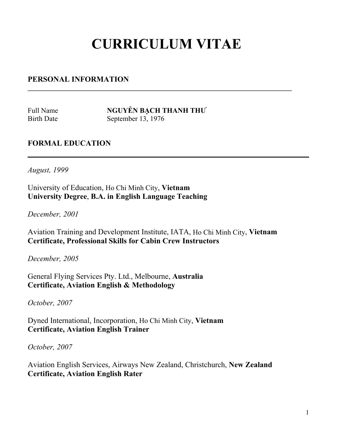## **CURRICULUM VITAE**

**\_\_\_\_\_\_\_\_\_\_\_\_\_\_\_\_\_\_\_\_\_\_\_\_\_\_\_\_\_\_\_\_\_\_\_\_\_\_\_\_\_\_\_\_\_\_\_\_\_\_\_\_\_\_\_\_\_\_\_\_\_\_\_\_\_\_\_\_\_\_\_\_\_\_\_\_\_\_\_\_**

## **PERSONAL INFORMATION**

Full Name **NGUYỄN BACH THANH THƯ** Birth Date September 13, 1976

## **FORMAL EDUCATION**

*August, 1999* University of Education, Ho Chi Minh City, **Vietnam University Degree**, **B.A. in English Language Teaching**

*December, 2001*

Aviation Training and Development Institute, IATA, Ho Chi Minh City, **Vietnam Certificate, Professional Skills for Cabin Crew Instructors**

*December, 2005*

General Flying Services Pty. Ltd., Melbourne, **Australia Certificate, Aviation English & Methodology**

*October, 2007* 

Dyned International, Incorporation, Ho Chi Minh City, **Vietnam Certificate, Aviation English Trainer**

*October, 2007* 

Aviation English Services, Airways New Zealand, Christchurch, **New Zealand Certificate, Aviation English Rater**